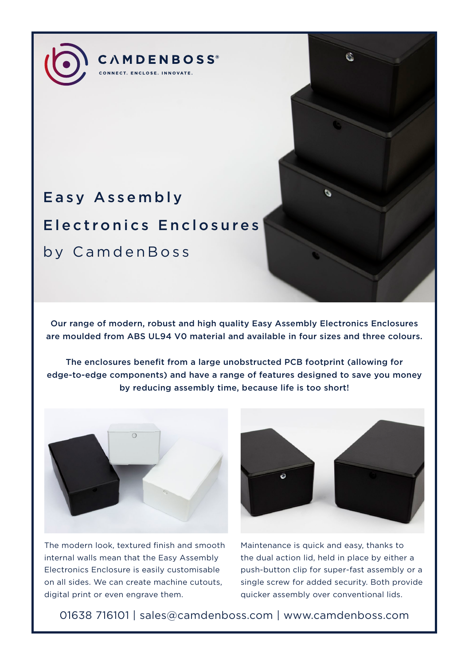# Easy Assembly Electronics Enclosures by CamdenBoss

**CAMDENBOSS**<sup>®</sup> .<br>CONNECT. ENCLOSE. INNOVATE.

Our range of modern, robust and high quality Easy Assembly Electronics Enclosures are moulded from ABS UL94 V0 material and available in four sizes and three colours.

The enclosures benefit from a large unobstructed PCB footprint (allowing for edge-to-edge components) and have a range of features designed to save you money by reducing assembly time, because life is too short!



The modern look, textured finish and smooth internal walls mean that the Easy Assembly Electronics Enclosure is easily customisable on all sides. We can create machine cutouts, digital print or even engrave them.



Maintenance is quick and easy, thanks to the dual action lid, held in place by either a push-button clip for super-fast assembly or a single screw for added security. Both provide quicker assembly over conventional lids.

01638 716101 | sales@camdenboss.com | www.camdenboss.com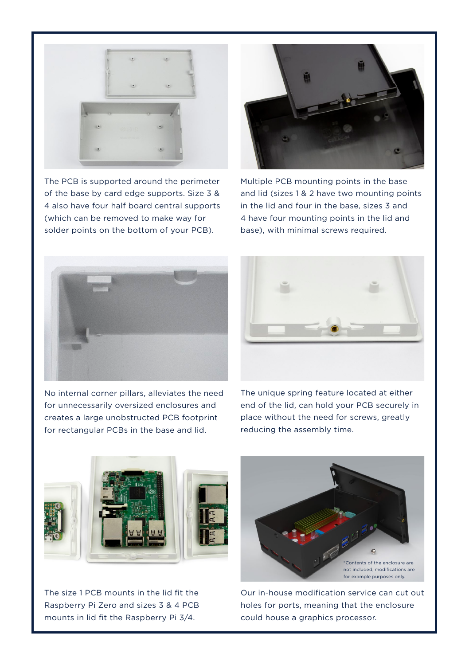

The PCB is supported around the perimeter of the base by card edge supports. Size 3 & 4 also have four half board central supports (which can be removed to make way for solder points on the bottom of your PCB).



Multiple PCB mounting points in the base and lid (sizes 1 & 2 have two mounting points in the lid and four in the base, sizes 3 and 4 have four mounting points in the lid and base), with minimal screws required.



No internal corner pillars, alleviates the need for unnecessarily oversized enclosures and creates a large unobstructed PCB footprint for rectangular PCBs in the base and lid.



The unique spring feature located at either end of the lid, can hold your PCB securely in place without the need for screws, greatly reducing the assembly time.



The size 1 PCB mounts in the lid fit the Raspberry Pi Zero and sizes 3 & 4 PCB mounts in lid fit the Raspberry Pi 3/4.



Our in-house modification service can cut out holes for ports, meaning that the enclosure could house a graphics processor.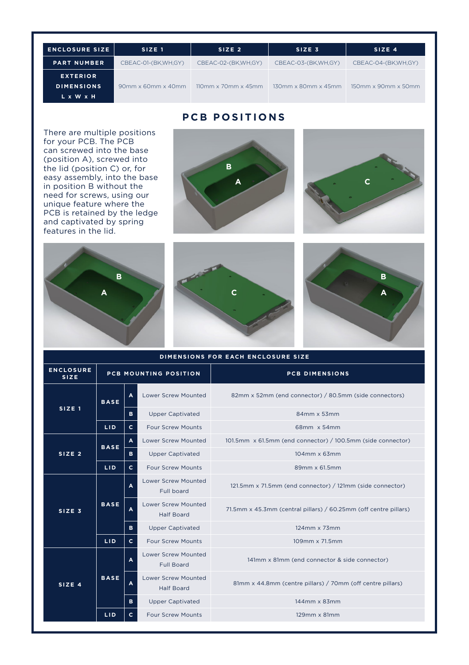| <b>ENCLOSURE SIZE</b> | SIZE <sub>1</sub>              | SIZE <sub>2</sub>               | SIZE <sub>3</sub>            | SIZE 4                       |
|-----------------------|--------------------------------|---------------------------------|------------------------------|------------------------------|
| <b>PART NUMBER</b>    | CBEAC-01-(BK.WH.GY)            | CBEAC-02-(BK.WH.GY)             | CBEAC-03-(BK.WH.GY)          | CBEAC-04-(BK.WH.GY)          |
| <b>EXTERIOR</b>       |                                |                                 |                              |                              |
| <b>DIMENSIONS</b>     | $90mm \times 60mm \times 40mm$ | $110mm \times 70mm \times 45mm$ | $130$ mm x $80$ mm x $45$ mm | $150$ mm x $90$ mm x $50$ mm |
| L x W x H             |                                |                                 |                              |                              |

## **PCB POSITIONS**

There are multiple positions for your PCB. The PCB can screwed into the base (position A), screwed into the lid (position C) or, for easy assembly, into the base in position B without the need for screws, using our unique feature where the PCB is retained by the ledge and captivated by spring features in the lid.











| DIMENSIONS FOR EACH ENCLOSURE SIZE |                              |              |                                                 |                                                                  |  |
|------------------------------------|------------------------------|--------------|-------------------------------------------------|------------------------------------------------------------------|--|
| <b>ENCLOSURE</b><br><b>SIZE</b>    | <b>PCB MOUNTING POSITION</b> |              |                                                 | <b>PCB DIMENSIONS</b>                                            |  |
| SIZE <sub>1</sub>                  | <b>BASE</b>                  | A            | <b>Lower Screw Mounted</b>                      | 82mm x 52mm (end connector) / 80.5mm (side connectors)           |  |
|                                    |                              | B            | <b>Upper Captivated</b>                         | 84mm x 53mm                                                      |  |
|                                    | LID.                         | $\mathbf{C}$ | <b>Four Screw Mounts</b>                        | 68mm x 54mm                                                      |  |
| SIZE <sub>2</sub>                  | <b>BASE</b>                  | $\mathbf{A}$ | <b>Lower Screw Mounted</b>                      | 101.5mm x 61.5mm (end connector) / 100.5mm (side connector)      |  |
|                                    |                              | в            | <b>Upper Captivated</b>                         | 104mm x 63mm                                                     |  |
|                                    | LID.                         | c            | <b>Four Screw Mounts</b>                        | 89mm x 61.5mm                                                    |  |
| SIZE <sub>3</sub>                  | <b>BASE</b><br>LID.          | A            | <b>Lower Screw Mounted</b><br>Full board        | 121.5mm x 71.5mm (end connector) / 121mm (side connector)        |  |
|                                    |                              | A            | <b>Lower Screw Mounted</b><br><b>Half Board</b> | 71.5mm x 45.3mm (central pillars) / 60.25mm (off centre pillars) |  |
|                                    |                              | B            | <b>Upper Captivated</b>                         | $124$ mm $\times 73$ mm                                          |  |
|                                    |                              | $\mathbf{C}$ | <b>Four Screw Mounts</b>                        | 109mm x 71.5mm                                                   |  |
| SIZE 4                             | <b>BASE</b>                  | A            | <b>Lower Screw Mounted</b><br><b>Full Board</b> | 141mm x 81mm (end connector & side connector)                    |  |
|                                    |                              | A            | <b>Lower Screw Mounted</b><br><b>Half Board</b> | 81mm x 44.8mm (centre pillars) / 70mm (off centre pillars)       |  |
|                                    |                              | B.           | <b>Upper Captivated</b>                         | 144mm x 83mm                                                     |  |
|                                    | LID.                         | c            | <b>Four Screw Mounts</b>                        | $129$ mm $\times$ 81mm                                           |  |